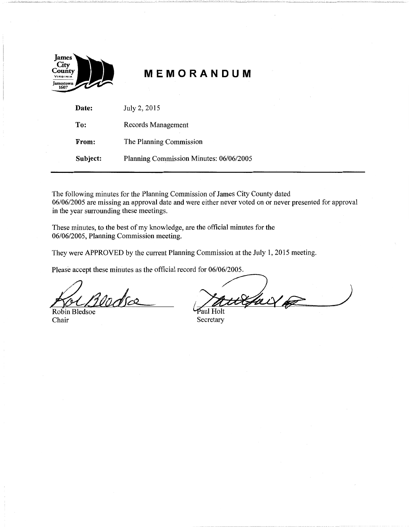

# **MEMORANDUM**

| Date:    | July 2, 2015                            |
|----------|-----------------------------------------|
| To:      | Records Management                      |
| From:    | The Planning Commission                 |
| Subject: | Planning Commission Minutes: 06/06/2005 |

The following minutes for the Planning Commission of James City County dated 06/06/2005 are missing an approval date and were either never voted on or never presented for approval in the year surrounding these meetings.

These minutes, to the best of my knowledge, are the official minutes for the 06/06/2005, Planning Commission meeting.

Robin Bledsoe Paul Holt<br>Chair Secretary

They were APPROVED by the current Planning Commission at the July 1, 2015 meeting.<br>Please accept these minutes as the official record for 06/06/2005.<br>All provided to the commission of the Universe of the All provided to th

Secretary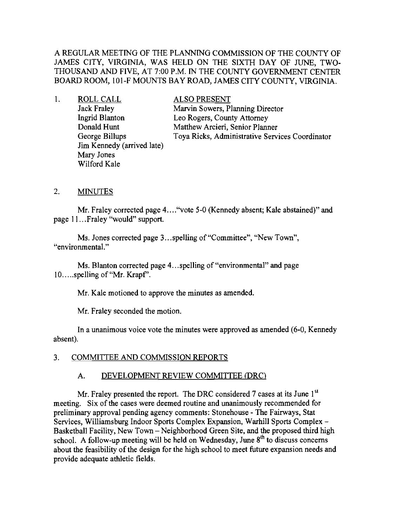A REGULAR MEETING OF THE PLANNING COMMISSION OF THE COUNTY OF JAMES CITY, VIRGINIA, WAS HELD ON THE SIXTH DAY OF JUNE, TWO-THOUSAND AND FIVE, AT 7:00 P.M. IN THE COUNTY GOVERNMENT CENTER BOARD ROOM, 10I-F MOUNTS BAY ROAD, JAMES CITY COUNTY, VIRGINIA.

1. ROLLCALL Jack Fraley Ingrid Blanton Donald Hunt George Billups Jim Kennedy (arrived late) Mary Jones Wilford Kale

ALSO PRESENT Marvin Sowers, Planning Director Leo Rogers, County Attorney Matthew Arcieri, Senior Planner Toya Ricks, Administrative Services Coordinator

### 2. MINUTES

Mr. Fraley corrected page 4...."vote 5-0 (Kennedy absent; Kale abstained)" and page II ...Fraley "would" support.

Ms. Jones corrected page 3...spelling of "Committee", "New Town", "environmental."

Ms. Blanton corrected page 4...spelling of "environmental" and page 10.....spelling of "Mr. Krapf'.

Mr. Kale motioned to approve the minutes as amended.

Mr. Fraley seconded the motion.

**In**a unanimous voice vote the minutes were approved as amended (6-0, Kennedy absent).

## 3. COMMITTEE AND COMMISSION REPORTS

### A. DEVELOPMENT REVIEW COMMITTEE (DRC)

Mr. Fraley presented the report. The DRC considered 7 cases at its June 1<sup>st</sup> meeting. Six of the cases were deemed routine and unanimously recommended for preliminary approval pending agency comments: Stonehouse - The Fairways, Stat Services, Williamsburg Indoor Sports Complex Expansion, Warhill Sports Complex-Basketball Facility, New Town – Neighborhood Green Site, and the proposed third high school. A follow-up meeting will be held on Wednesday, June 8<sup>th</sup> to discuss concerns about the feasibility of the design for the high school to meet future expansion needs and provide adequate athletic fields.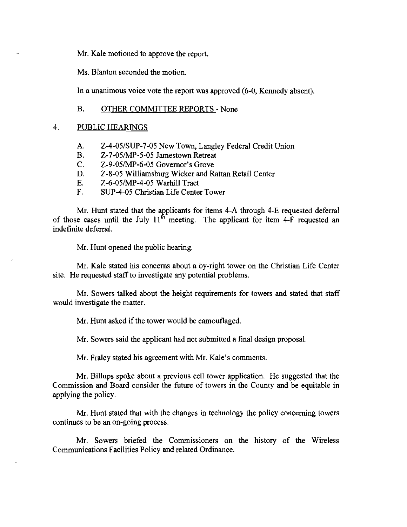Mr. Kale motioned to approve the report.

Ms. Blanton seconded the motion.

In a unanimous voice vote the report was approved (6-0, Kennedy absent).

#### B. OTHER COMMITTEE REPORTS - None

#### 4. PUBLIC HEARINGS

- A. Z-4-05/SUP-7-05 New Town, Langley Federal Credit Union
- B. Z-7-05/MP-5-05 Jamestown Retreat
- C. Z-9-05/MP-6-05 Governor's Grove
- D. Z-8-05 Williamsburg Wicker and Rattan Retail Center
- E. Z-6-05/MP-4-05 Warhill Tract
- F. SUP-4-05 Christian Life Center Tower

Mr. Hunt stated that the applicants for items 4-A through 4-E requested deferral of those cases until the July  $11^{th}$  meeting. The applicant for item 4-F requested an indefinite deferral.

Mr. Hunt opened the public hearing.

Mr. Kale stated his concerns about a by-right tower on the Christian Life Center site. He requested staff to investigate any potential problems.

Mr. Sowers talked about the height requirements for towers and stated that staff would investigate the matter.

Mr. Hunt asked if the tower would be camouflaged.

Mr. Sowers said the applicant had not submitted a final design proposal.

Mr. Fraley stated his agreement with Mr. Kale's comments.

Mr. Billups spoke about a previous cell tower application. He suggested that the Commission and Board consider the future of towers in the County and be equitable in applying the policy.

Mr. Hunt stated that with the changes in technology the policy concerning towers continues to be an on-going process.

Mr. Sowers briefed the Commissioners on the history of the Wireless Communications Facilities Policy and related Ordinance.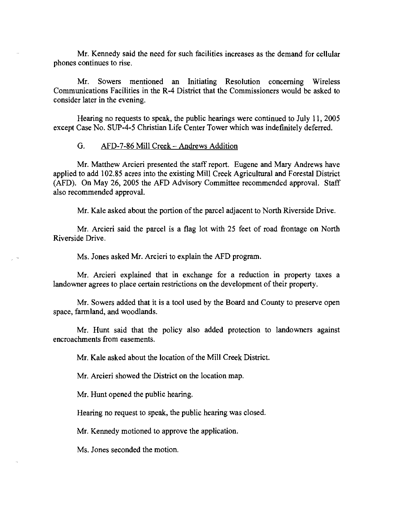Mr. Kennedy said the need for such facilities increases as the demand for cellular phones continues to rise.

Mr. Sowers mentioned an Initiating Resolution concerning Wireless Communications Facilities in the R-4 District that the Commissioners would be asked to consider later in the evening.

Hearing no requests to speak, the public hearings were continued to July **II,** 2005 except Case No. SUP-4-5 Christian Life Center Tower which was indefinitely deferred.

#### G. AFD-7-86 Mill Creek - Andrews Addition

Mr. Matthew Arcieri presented the staff report. Eugene and Mary Andrews have applied to add 102.85 acres into the existing Mill Creek Agricultural and Forestal District (AFD). On May 26, 2005 the AFD Advisory Committee recommended approval. Staff also recommended approval.

Mr. Kale asked about the portion ofthe parcel adjacent to North Riverside Drive.

Mr. Arcieri said the parcel is a flag lot with 25 feet of road frontage on North Riverside Drive.

Ms. Jones asked Mr. Arcieri to explain the AFD program.

Mr. Arcieri explained that in exchange for a reduction in property taxes a landowner agrees to place certain restrictions on the development of their property.

Mr. Sowers added that it is a tool used by the Board and County to preserve open space, farmland, and woodlands.

Mr. Hunt said that the policy also added protection to landowners against encroachments from easements.

Mr. Kale asked about the location of the Mill Creek District.

Mr. Arcieri showed the District on the location map.

Mr. Hunt opened the public hearing.

Hearing no request to speak, the public hearing was closed.

Mr. Kennedy motioned to approve the application.

Ms. Jones seconded the motion.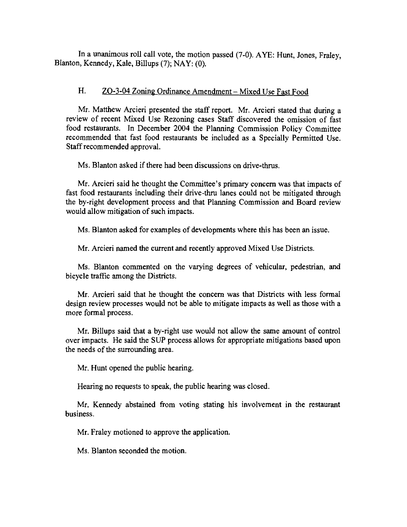In a unanimous roll call vote, the motion passed (7-0). AYE: Hunt, Jones, Fraley, Blanton, Kennedy, Kale, Billups (7); NAY: (0).

## H. ZO-3-04 Zoning Ordinance Amendment – Mixed Use Fast Food

Mr. Matthew Arcieri presented the staff report. Mr. Arcieri stated that during a review of recent Mixed Use Rezoning cases Staff discovered the omission of fast food restaurants. In December 2004 the Planning Commission Policy Committee recommended that fast food restaurants be included as a Specially Permitted Use. Staff recommended approval.

Ms. Blanton asked if there had been discussions on drive-thrus.

Mr. Arcieri said he thought the Committee's primary concern was that impacts of fast food restaurants including their drive-thru lanes could not be mitigated through the by-right development process and that Planning Commission and Board review would allow mitigation of such impacts.

Ms. Blanton asked for examples of developments where this has been an issue.

Mr. Arcieri named the current and recently approved Mixed Use Districts.

Ms. Blanton commented on the varying degrees of vehicular, pedestrian, and bicycle traffic among the Districts.

Mr. Arcieri said that he thought the concern was that Districts with less formal design review processes would not be able to mitigate impacts as well as those with a more formal process.

Mr. Billups said that a by-right use would not allow the same amount of control over impacts. He said the SUP process allows for appropriate mitigations based upon the needs of the surrounding area.

Mr. Hunt opened the public hearing.

Hearing no requests to speak, the public hearing was closed.

Mr. Kennedy abstained from voting stating his involvement in the restaurant business.

Mr. Fraley motioned to approve the application.

Ms. Blanton seconded the motion.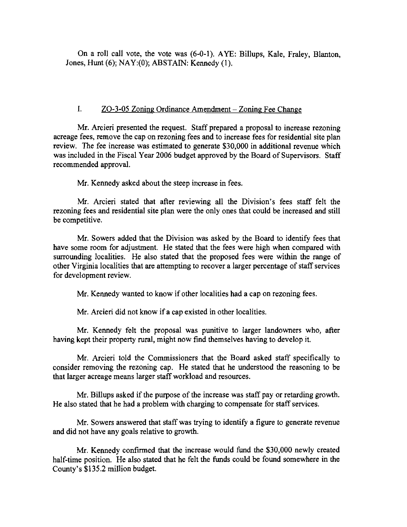On a roll call vote, the vote was (6-0-1). AYE: Billups, Kale, Fraley, Blanton, Jones, Hunt (6); NAY:(O); ABSTAIN: Kennedy (I).

## I. ZO-3-05 Zoning Ordinance Amendment - Zoning Fee Change

Mr. Arcieri presented the request. Staff prepared a proposal to increase rezoning acreage fees, remove the cap on rezoning fees and to increase fees for residential site plan review. The fee increase was estimated to generate \$30,000 in additional revenue which was included in the Fiscal Year 2006 budget approved by the Board of Supervisors. Staff recommended approval.

Mr. Kennedy asked about the steep increase in fees.

Mr. Arcieri stated that after reviewing all the Division's fees staff felt the rezoning fees and residential site plan were the only ones that could be increased and still be competitive.

Mr. Sowers added that the Division was asked by the Board to identify fees that have some room for adjustment. He stated that the fees were high when compared with surrounding localities. He also stated that the proposed fees were within the range of other Virginia localities that are attempting to recover a larger percentage of staff services for development review.

Mr. Kennedy wanted to know if other localities had a cap on rezoning fees.

Mr. Arcieri did not know if a cap existed in other localities.

Mr. Kennedy felt the proposal was punitive to larger landowners who, after having kept their property rural, might now find themselves having to develop it.

Mr. Arcieri told the Commissioners that the Board asked staff specifically to consider removing the rezoning cap. He stated that he understood the reasoning to be that larger acreage means larger staff workload and resources.

Mr. Billups asked if the purpose of the increase was staff pay or retarding growth. He also stated that he had a problem with charging to compensate for staff services.

Mr. Sowers answered that staff was trying to identify a figure to generate revenue and did not have any goals relative to growth.

Mr. Kennedy confirmed that the increase would fund the \$30,000 newly created half-time position. He also stated that he felt the funds could be found somewhere in the County's \$135.2 million budget.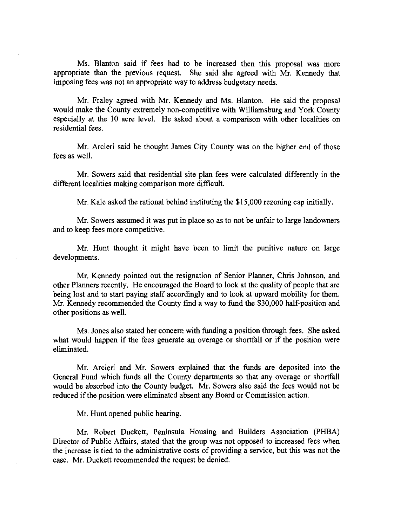Ms. Blanton said if fees had to be increased then this proposal was more appropriate than the previous request. She said she agreed with Mr. Kennedy that imposing fees was not an appropriate way to address budgetary needs.

Mr. Fraley agreed with Mr. Kennedy and Ms. Blanton. He said the proposal would make the County extremely non-competitive with Williamsburg and York County especially at the 10 acre level. He asked about a comparison with other localities on residential fees.

Mr. Arcieri said he thought James City County was on the higher end of those fees as well.

Mr. Sowers said that residential site plan fees were calculated differently in the different localities making comparison more difficult.

Mr. Kale asked the rational behind instituting the \$15,000 rezoning cap initially.

Mr. Sowers assumed it was put in place so as to not be unfair to large landowners and to keep fees more competitive.

Mr. Hunt thought it might have been to limit the punitive nature on large developments.

Mr. Kennedy pointed out the resignation of Senior Planner, Chris Johnson, and other Planners recently. He encouraged the Board to look at the quality of people that are being lost and to start paying staff accordingly and to look at upward mobility for them. Mr. Kennedy recommended the County find a way to fund the \$30,000 half-position and other positions as well.

Ms. Jones also stated her concern with funding a position through fees. She asked what would happen if the fees generate an overage or shortfall or if the position were eliminated.

Mr. Arcieri and Mr. Sowers explained that the funds are deposited into the General Fund which funds all the County departments so that any overage or shortfall would be absorbed into the County budget. Mr. Sowers also said the fees would not be reduced if the position were eliminated absent any Board or Commission action.

Mr. Hunt opened public hearing.

Mr. Robert Duckett, Peninsula Housing and Builders Association (PHBA) Director of Public Affairs, stated that the group was not opposed to increased fees when the increase is tied to the administrative costs of providing a service, but this was not the case. Mr. Duckett recommended the request be denied.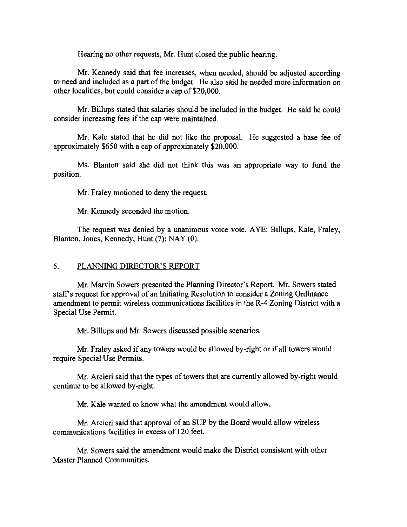Hearing no other requests, Mr. Hunt closed the public hearing.

Mr. Kennedy said that fee increases, when needed, should be adjusted according to need and included as a part of the budget. He also said he needed more information on other localities, but could consider a cap of \$20,000.

Mr. Billups stated that salaries should be included in the budget. He said he could consider increasing fees if the cap were maintained.

Mr. Kale stated that he did not like the proposal. He suggested a base fee of approximately \$650 with a cap of approximately \$20,000.

Ms. Blanton said she did not think this was an appropriate way to fund the position.

Mr. Fraley motioned to deny the request.

Mr. Kennedy seconded the motion.

The request was denied by a unanimous voice vote. AYE: Billups, Kale, Fraley, Blanton, Jones, Kennedy, Hunt (7); NAY (0).

#### 5. PLANNING DIRECTOR'S REPORT

Mr. Marvin Sowers presented the Planning Director's Report. Mr. Sowers stated staff's request for approval of an Initiating Resolution to consider a Zoning Ordinance amendment to permit wireless communications facilities in the R-4 Zoning District with a Special Use Permit.

Mr. Billups and Mr. Sowers discussed possible scenarios.

Mr. Fraley asked if any towers would be allowed by-right or if all towers would require Special Use Permits,

Mr. Arcieri said that the types of towers that are currently allowed by-right would continue to be allowed by-right.

Mr. Kale wanted to know what the amendment would allow.

Mr. Arcieri said that approval of an SUP by the Board would allow wireless communications facilities in excess of 120 feet.

Mr. Sowers said the amendment would make the District consistent with other Master Planned Communities.